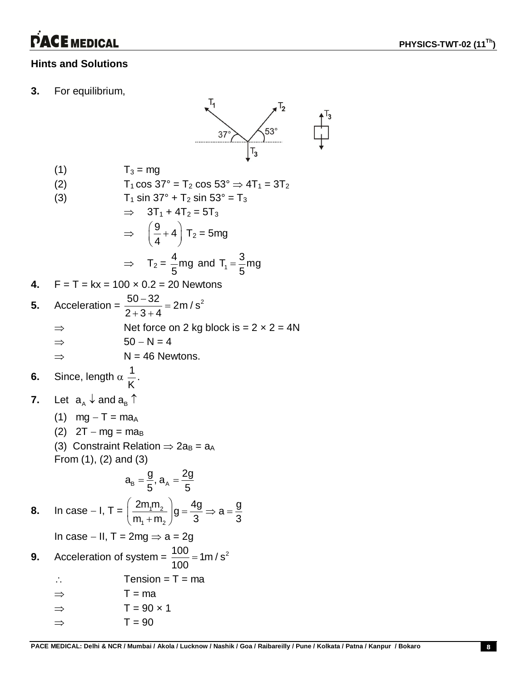# **PACE MEDICAL**

### **Hints and Solutions**

**3.** For equilibrium,



- (1)  $T_3 = mg$
- (2)  $T_1 \cos 37^\circ = T_2 \cos 53^\circ \Rightarrow 4T_1 = 3T_2$

(3) 
$$
T_1 \sin 37^\circ + T_2 \sin 53^\circ = T_3
$$

$$
\Rightarrow 3T_1 + 4T_2 = 5T_3
$$
  
\n
$$
\Rightarrow \left(\frac{9}{4} + 4\right)T_2 = 5mg
$$
  
\n
$$
\Rightarrow T_2 = \frac{4}{5}mg \text{ and } T_1 = \frac{3}{5}mg
$$

4. 
$$
F = T = kx = 100 \times 0.2 = 20
$$
 Newtons

5. Acceleration = 
$$
\frac{50-32}{2+3+4} = 2m/s^2
$$
  
\n
$$
\Rightarrow
$$
 Net force on 2 kg block is = 2 x 2 = 4N  
\n
$$
\Rightarrow
$$
 50 - N = 4  
\n
$$
\Rightarrow
$$
 N = 46 Newtons.

- **6.** Since, length  $\alpha \frac{1}{16}$ K .
- **7.** Let  $a_{A} \downarrow$  and  $a_{B} \uparrow$ 
	- (1)  $mg T = ma_A$
	- (2)  $2T mg = ma_B$
	- (3) Constraint Relation  $\Rightarrow$  2a<sub>B</sub> = a<sub>A</sub> From (1), (2) and (3)

$$
a_{B}=\frac{g}{5}, a_{A}=\frac{2g}{5}
$$

**8.** In case – I,  $T = \frac{2m_1m_2}{a}$  $1$   $1$   $1$   $1$   $2$  $\frac{2m_1m_2}{g}$   $g = \frac{4g}{g} \Rightarrow a = \frac{g}{g}$  $\left(\frac{2m_1m_2}{m_1+m_2}\right)g=\frac{4g}{3} \Rightarrow a=\frac{g}{3}$  $\left(m_1 + m_2\right)^3$ In case  $-$  II, T = 2mg  $\Rightarrow$  a = 2g **9.** Acceleration of system =  $\frac{100}{100}$  = 1m / s<sup>2</sup> 100  $=$  $\therefore$  Tension = T = ma

| ⇒             | $T = ma$          |
|---------------|-------------------|
| $\Rightarrow$ | $T = 90 \times 1$ |

$$
\Rightarrow \qquad T = 90
$$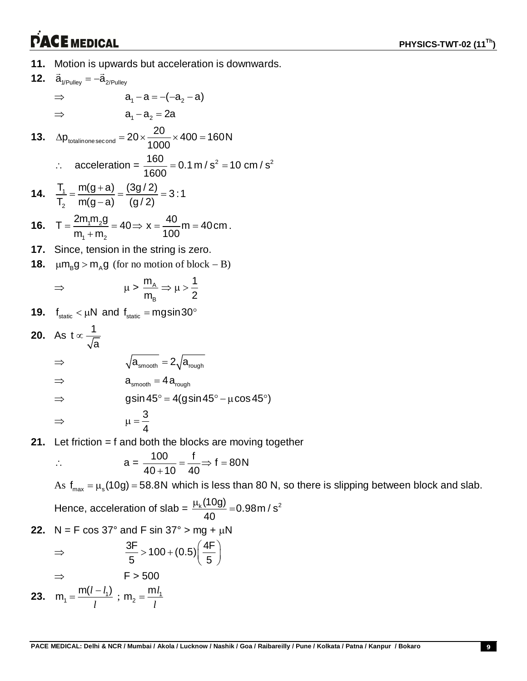## **PACE MEDICAL**

**11.** Motion is upwards but acceleration is downwards.

12. 
$$
\vec{a}_{\text{yPulley}} = -\vec{a}_{\text{z/Pulley}}
$$
  
\n⇒  $a_1 - a_2 = -(-a_2 - a)$   
\n⇒  $a_1 - a_2 = 2a$   
\n13.  $\Delta p_{\text{totalinonessecond}} = 20 \times \frac{20}{1000} \times 400 = 160 \text{ N}$   
\n∴ acceleration =  $\frac{160}{1600} = 0.1 \text{ m/s}^2 = 10 \text{ cm/s}^2$   
\n14.  $\frac{T_1}{T_2} = \frac{m(g+a)}{m(g-a)} = \frac{(3g/2)}{(g/2)} = 3:1$   
\n16.  $T = \frac{2m_1m_2g}{m_1 + m_2} = 40 \Rightarrow x = \frac{40}{100} \text{ m} = 40 \text{ cm}$ .  
\n17. Since, tension in the string is zero.  
\n18.  $\mu m_B g > m_A g$  (for no motion of block – B)  
\n⇒  $\mu > \frac{m_A}{m_B} \Rightarrow \mu > \frac{1}{2}$   
\n19.  $f_{\text{static}} < \mu N$  and  $f_{\text{static}} = m g \sin 30^\circ$   
\n20. As  $t \propto \frac{1}{\sqrt{a}}$   
\n⇒  $\sqrt{a_{\text{smooth}}} = 2\sqrt{a_{\text{rough}}}$   
\n⇒  $a_{\text{smooth}} = 4 a_{\text{rough}}$   
\n⇒  $g \sin 45^\circ = 4(g \sin 45^\circ - \mu \cos 45^\circ)$   
\n⇒  $\mu = \frac{3}{4}$   
\n21. Let friction = f and both the blocks are moving too

**21.** Let friction = f and both the blocks are moving together

 $=\frac{1}{10} \Rightarrow f = 8$ 

$$
\therefore \qquad a = \frac{100}{40 + 10} = \frac{f}{40} \Rightarrow f = 80N
$$

As  $f_{\text{max}} = \mu_s(10g) = 58.8N$  which is less than 80 N, so there is slipping between block and slab.

Hence, acceleration of slab = 
$$
\frac{\mu_k(10g)}{40} = 0.98 \text{ m/s}^2
$$

**22.** N = F cos 37° and F sin 37° > mg + 
$$
\mu
$$
N

$$
\Rightarrow \frac{3F}{5} > 100 + (0.5) \left(\frac{4F}{5}\right)
$$

$$
\Rightarrow F > 500
$$
  
**23.**  $m_1 = \frac{m(l - l_1)}{l}$ ;  $m_2 = \frac{ml_1}{l}$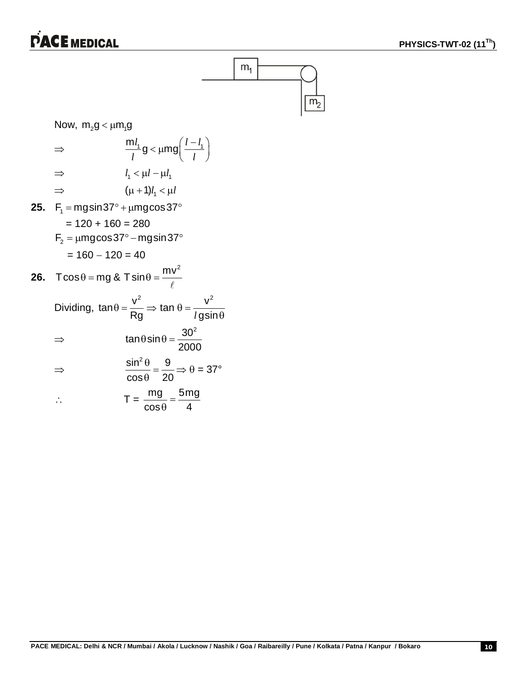### **PACE MEDICAL**



Now, m  $a \lt 1$  m  $a$ 

 $\Rightarrow$ 

 $\Rightarrow$ 

$$
\Rightarrow \frac{ml_1}{l}g < \mu mg \left(\frac{l-l_1}{l}\right)
$$
  
\n
$$
\Rightarrow l_1 < \mu l - \mu l_1
$$
  
\n
$$
\Rightarrow ( \mu + 1)l_1 < \mu l
$$
  
\n25. F<sub>1</sub> = mgsin37° + \mu mgcos37°  
\n= 120 + 160 = 280  
\nF<sub>2</sub> = \mu mgcos37° - mgsin37°  
\n= 160 - 120 = 40  
\n26. Tcos $\theta$  = mg & Tsin $\theta$  =  $\frac{mv^2}{\ell}$   
\nDividing,  $\tan \theta = \frac{v^2}{r} \Rightarrow \tan \theta = \frac{v^2}{r}$ 

Rg *l*gsin

2000

 $\Rightarrow$   $\theta$  = 37°

 $\tan \theta \sin \theta = \frac{30^2}{200}$ 

 $\cos \theta$  4  $=$  $\theta$ 

 $\theta$ sin $\theta$  = -

 $\sin^2 \theta$  9  $cos \theta$  20  $\frac{\theta}{\theta} =$  $\theta$ 

 $T = \frac{mg}{r} = \frac{5mg}{4}$ 

 $l$  gsin $\theta$